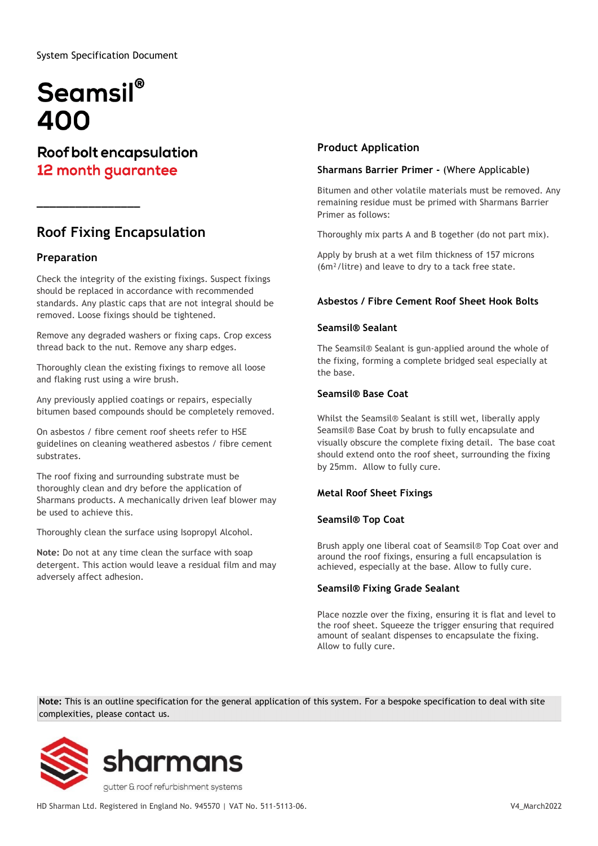System Specification Document

# Seamsil® 400

**\_\_\_\_\_\_\_\_\_\_\_\_\_\_\_\_**

**Roof bolt encapsulation** 12 month guarantee

# **Roof Fixing Encapsulation**

## **Preparation**

Check the integrity of the existing fixings. Suspect fixings should be replaced in accordance with recommended standards. Any plastic caps that are not integral should be removed. Loose fixings should be tightened.

Remove any degraded washers or fixing caps. Crop excess thread back to the nut. Remove any sharp edges.

Thoroughly clean the existing fixings to remove all loose and flaking rust using a wire brush.

Any previously applied coatings or repairs, especially bitumen based compounds should be completely removed.

On asbestos / fibre cement roof sheets refer to HSE guidelines on cleaning weathered asbestos / fibre cement substrates.

The roof fixing and surrounding substrate must be thoroughly clean and dry before the application of Sharmans products. A mechanically driven leaf blower may be used to achieve this.

Thoroughly clean the surface using Isopropyl Alcohol.

**Note:** Do not at any time clean the surface with soap detergent. This action would leave a residual film and may adversely affect adhesion.

### **Product Application**

#### **Sharmans Barrier Primer -** (Where Applicable)

Bitumen and other volatile materials must be removed. Any remaining residue must be primed with Sharmans Barrier Primer as follows:

Thoroughly mix parts A and B together (do not part mix).

Apply by brush at a wet film thickness of 157 microns (6m²/litre) and leave to dry to a tack free state.

#### **Asbestos / Fibre Cement Roof Sheet Hook Bolts**

#### **Seamsil® Sealant**

The Seamsil® Sealant is gun-applied around the whole of the fixing, forming a complete bridged seal especially at the base.

#### **Seamsil® Base Coat**

Whilst the Seamsil® Sealant is still wet, liberally apply Seamsil® Base Coat by brush to fully encapsulate and visually obscure the complete fixing detail. The base coat should extend onto the roof sheet, surrounding the fixing by 25mm. Allow to fully cure.

#### **Metal Roof Sheet Fixings**

#### **Seamsil® Top Coat**

Brush apply one liberal coat of Seamsil® Top Coat over and around the roof fixings, ensuring a full encapsulation is achieved, especially at the base. Allow to fully cure.

#### **Seamsil® Fixing Grade Sealant**

Place nozzle over the fixing, ensuring it is flat and level to the roof sheet. Squeeze the trigger ensuring that required amount of sealant dispenses to encapsulate the fixing. Allow to fully cure.

**Note:** This is an outline specification for the general application of this system. For a bespoke specification to deal with site complexities, please contact us.



HD Sharman Ltd. Registered in England No. 945570 | VAT No. 511-5113-06. V4\_March2022